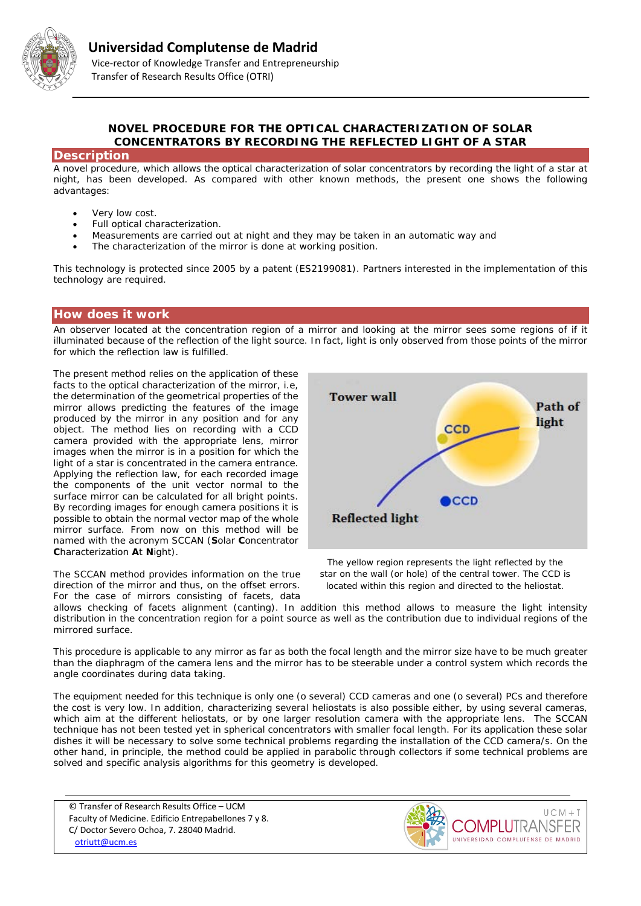

## **NOVEL PROCEDURE FOR THE OPTICAL CHARACTERIZATION OF SOLAR CONCENTRATORS BY RECORDING THE REFLECTED LIGHT OF A STAR**

### **Description**

A novel procedure, which allows the optical characterization of solar concentrators by recording the light of a star at night, has been developed. As compared with other known methods, the present one shows the following advantages:

- Very low cost.
- Full optical characterization.
- Measurements are carried out at night and they may be taken in an automatic way and
- The characterization of the mirror is done at working position.

This technology is protected since 2005 by a patent (ES2199081). Partners interested in the implementation of this technology are required.

### **How does it work**

An observer located at the concentration region of a mirror and looking at the mirror sees some regions of if it illuminated because of the reflection of the light source. In fact, light is only observed from those points of the mirror for which the reflection law is fulfilled.

The present method relies on the application of these facts to the optical characterization of the mirror, i.e, the determination of the geometrical properties of the mirror allows predicting the features of the image produced by the mirror in any position and for any object. The method lies on recording with a CCD camera provided with the appropriate lens, mirror images when the mirror is in a position for which the light of a star is concentrated in the camera entrance. Applying the reflection law, for each recorded image the components of the unit vector normal to the surface mirror can be calculated for all bright points. By recording images for enough camera positions it is possible to obtain the normal vector map of the whole mirror surface. From now on this method will be named with the acronym SCCAN (**S**olar **C**oncentrator **C**haracterization **A**t **N**ight).

The SCCAN method provides information on the true direction of the mirror and thus, on the offset errors. For the case of mirrors consisting of facets, data



*The yellow region represents the light reflected by the star on the wall (or hole) of the central tower. The CCD is located within this region and directed to the heliostat.*

allows checking of facets alignment (canting). In addition this method allows to measure the light intensity distribution in the concentration region for a point source as well as the contribution due to individual regions of the mirrored surface.

This procedure is applicable to any mirror as far as both the focal length and the mirror size have to be much greater than the diaphragm of the camera lens and the mirror has to be steerable under a control system which records the angle coordinates during data taking.

The equipment needed for this technique is only one (o several) CCD cameras and one (o several) PCs and therefore the cost is very low. In addition, characterizing several heliostats is also possible either, by using several cameras, which aim at the different heliostats, or by one larger resolution camera with the appropriate lens. The SCCAN technique has not been tested yet in spherical concentrators with smaller focal length. For its application these solar dishes it will be necessary to solve some technical problems regarding the installation of the CCD camera/s. On the other hand, in principle, the method could be applied in parabolic through collectors if some technical problems are solved and specific analysis algorithms for this geometry is developed.

© Transfer of Research Results Office – UCM Faculty of Medicine. Edificio Entrepabellones 7 y 8. C/ Doctor Severo Ochoa, 7. 28040 Madrid. [otriutt@ucm.es](mailto:otriutt@ucm.es?subject=NOVEL%20PROCEDURE%20FOR%20THE%20OPTICAL%20CHARACTERIZATION%20OF%20SOLAR%20CONCENTRATORS%20BY%20RECORDING%20THE%20REFLECTED%20LIGHT%20OF%20A%20STAR)